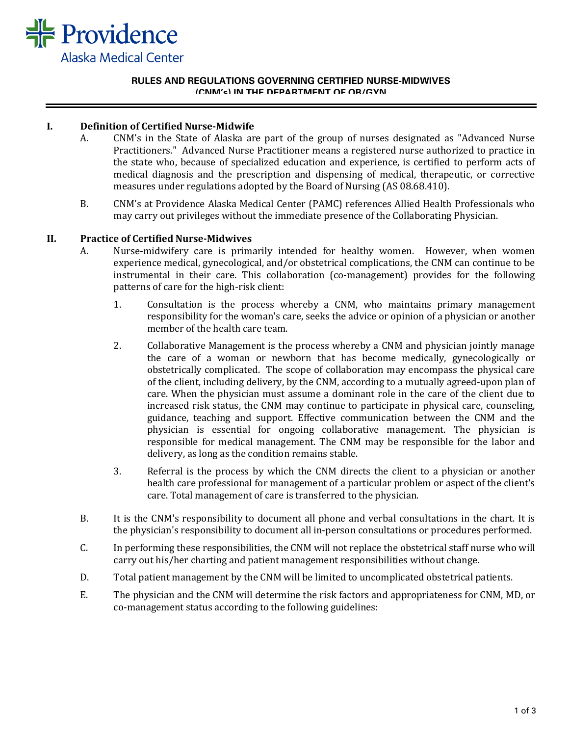

#### **RULES AND REGULATIONS GOVERNING CERTIFIED NURSE-MIDWIVES (CNM's) IN THE DEPARTMENT OF OB/GYN**

# **I. Definition of Certified Nurse-Midwife**

- A. CNM's in the State of Alaska are part of the group of nurses designated as "Advanced Nurse Practitioners." Advanced Nurse Practitioner means a registered nurse authorized to practice in the state who, because of specialized education and experience, is certified to perform acts of medical diagnosis and the prescription and dispensing of medical, therapeutic, or corrective measures under regulations adopted by the Board of Nursing (AS 08.68.410).
- B. CNM's at Providence Alaska Medical Center (PAMC) references Allied Health Professionals who may carry out privileges without the immediate presence of the Collaborating Physician.

#### **II. Practice of Certified Nurse-Midwives**

- A. Nurse-midwifery care is primarily intended for healthy women. However, when women experience medical, gynecological, and/or obstetrical complications, the CNM can continue to be instrumental in their care. This collaboration (co-management) provides for the following patterns of care for the high-risk client:
	- 1. Consultation is the process whereby a CNM, who maintains primary management responsibility for the woman's care, seeks the advice or opinion of a physician or another member of the health care team.
	- 2. Collaborative Management is the process whereby a CNM and physician jointly manage the care of a woman or newborn that has become medically, gynecologically or obstetrically complicated. The scope of collaboration may encompass the physical care of the client, including delivery, by the CNM, according to a mutually agreed-upon plan of care. When the physician must assume a dominant role in the care of the client due to increased risk status, the CNM may continue to participate in physical care, counseling, guidance, teaching and support. Effective communication between the CNM and the physician is essential for ongoing collaborative management. The physician is responsible for medical management. The CNM may be responsible for the labor and delivery, as long as the condition remains stable.
	- 3. Referral is the process by which the CNM directs the client to a physician or another health care professional for management of a particular problem or aspect of the client's care. Total management of care is transferred to the physician.
- B. It is the CNM's responsibility to document all phone and verbal consultations in the chart. It is the physician's responsibility to document all in-person consultations or procedures performed.
- C. In performing these responsibilities, the CNM will not replace the obstetrical staff nurse who will carry out his/her charting and patient management responsibilities without change.
- D. Total patient management by the CNM will be limited to uncomplicated obstetrical patients.
- E. The physician and the CNM will determine the risk factors and appropriateness for CNM, MD, or co-management status according to the following guidelines: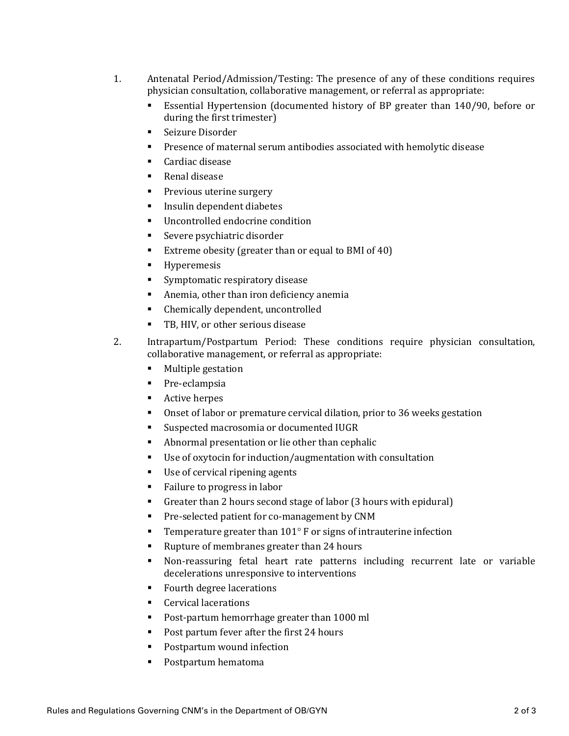- 1. Antenatal Period/Admission/Testing: The presence of any of these conditions requires physician consultation, collaborative management, or referral as appropriate:
	- Essential Hypertension (documented history of BP greater than 140/90, before or during the first trimester)
	- **Seizure Disorder**
	- **Presence of maternal serum antibodies associated with hemolytic disease**
	- Cardiac disease
	- Renal disease
	- **Previous uterine surgery**
	- **Insulin dependent diabetes**
	- Uncontrolled endocrine condition
	- **Severe psychiatric disorder**
	- **Extreme obesity (greater than or equal to BMI of 40)**
	- **Hyperemesis**
	- **Symptomatic respiratory disease**
	- Anemia, other than iron deficiency anemia
	- Chemically dependent, uncontrolled
	- TB, HIV, or other serious disease
- 2. Intrapartum/Postpartum Period: These conditions require physician consultation, collaborative management, or referral as appropriate:
	- **Multiple gestation**
	- **Pre-eclampsia**
	- Active herpes
	- Onset of labor or premature cervical dilation, prior to 36 weeks gestation
	- Suspected macrosomia or documented IUGR
	- Abnormal presentation or lie other than cephalic
	- Use of oxytocin for induction/augmentation with consultation
	- Use of cervical ripening agents
	- Failure to progress in labor
	- Greater than 2 hours second stage of labor (3 hours with epidural)
	- **Pre-selected patient for co-management by CNM**
	- **Temperature greater than 101** $^{\circ}$  **F or signs of intrauterine infection**
	- Rupture of membranes greater than 24 hours
	- Non-reassuring fetal heart rate patterns including recurrent late or variable decelerations unresponsive to interventions
	- Fourth degree lacerations
	- **Cervical lacerations**
	- Post-partum hemorrhage greater than 1000 ml
	- Post partum fever after the first 24 hours
	- **Postpartum wound infection**
	- Postpartum hematoma